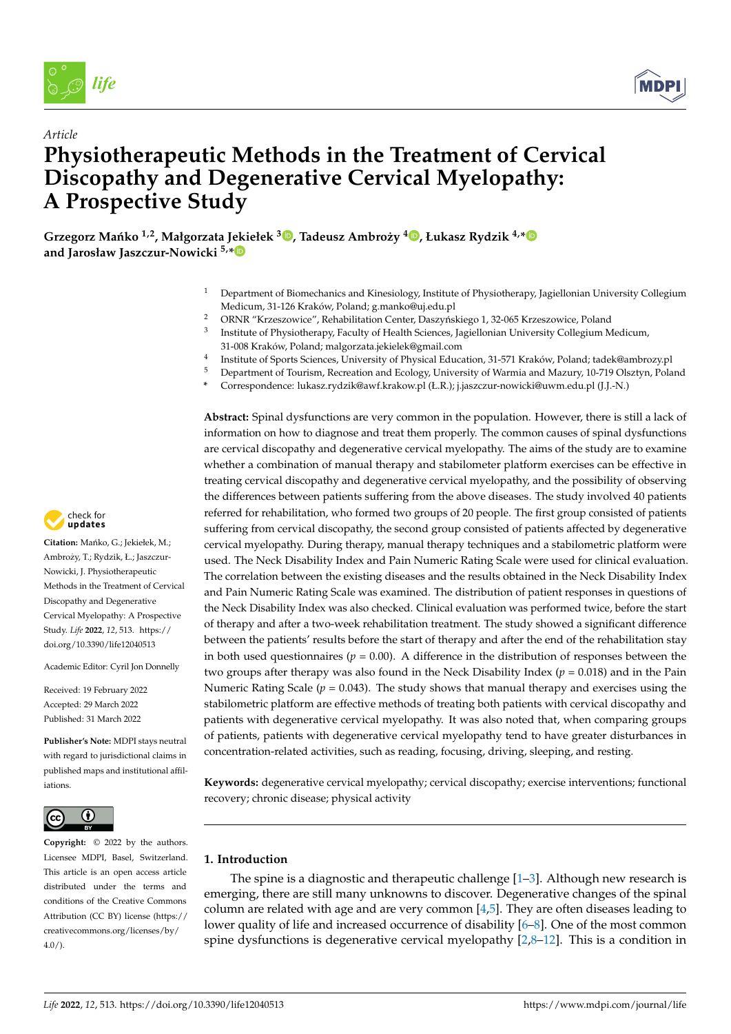

*Article*



# **Physiotherapeutic Methods in the Treatment of Cervical Discopathy and Degenerative Cervical Myelopathy: A Prospective Study**

 $\,$  $\,$ Grzegorz Mańko  $^{1,2}$ , Małgorzata Jekiełek  $^{3}$ ®, Tadeusz Ambroży  $^{4}$ ®, Łukasz Rydzik  $^{4,*}$  $^{4,*}$  $^{4,*}$ **and Jarosław Jaszczur-Nowicki 5,[\\*](https://orcid.org/0000-0001-5256-1406)**

- <sup>1</sup> Department of Biomechanics and Kinesiology, Institute of Physiotherapy, Jagiellonian University Collegium Medicum, 31-126 Kraków, Poland; g.manko@uj.edu.pl
- ORNR "Krzeszowice", Rehabilitation Center, Daszyńskiego 1, 32-065 Krzeszowice, Poland
- 3 Institute of Physiotherapy, Faculty of Health Sciences, Jagiellonian University Collegium Medicum, 31-008 Kraków, Poland; malgorzata.jekielek@gmail.com
- 4 Institute of Sports Sciences, University of Physical Education, 31-571 Kraków, Poland; tadek@ambrozy.pl
- <sup>5</sup> Department of Tourism, Recreation and Ecology, University of Warmia and Mazury, 10-719 Olsztyn, Poland
- **\*** Correspondence: lukasz.rydzik@awf.krakow.pl (Ł.R.); j.jaszczur-nowicki@uwm.edu.pl (J.J.-N.)

**Abstract:** Spinal dysfunctions are very common in the population. However, there is still a lack of information on how to diagnose and treat them properly. The common causes of spinal dysfunctions are cervical discopathy and degenerative cervical myelopathy. The aims of the study are to examine whether a combination of manual therapy and stabilometer platform exercises can be effective in treating cervical discopathy and degenerative cervical myelopathy, and the possibility of observing the differences between patients suffering from the above diseases. The study involved 40 patients referred for rehabilitation, who formed two groups of 20 people. The first group consisted of patients suffering from cervical discopathy, the second group consisted of patients affected by degenerative cervical myelopathy. During therapy, manual therapy techniques and a stabilometric platform were used. The Neck Disability Index and Pain Numeric Rating Scale were used for clinical evaluation. The correlation between the existing diseases and the results obtained in the Neck Disability Index and Pain Numeric Rating Scale was examined. The distribution of patient responses in questions of the Neck Disability Index was also checked. Clinical evaluation was performed twice, before the start of therapy and after a two-week rehabilitation treatment. The study showed a significant difference between the patients' results before the start of therapy and after the end of the rehabilitation stay in both used questionnaires ( $p = 0.00$ ). A difference in the distribution of responses between the two groups after therapy was also found in the Neck Disability Index  $(p = 0.018)$  and in the Pain Numeric Rating Scale ( $p = 0.043$ ). The study shows that manual therapy and exercises using the stabilometric platform are effective methods of treating both patients with cervical discopathy and patients with degenerative cervical myelopathy. It was also noted that, when comparing groups of patients, patients with degenerative cervical myelopathy tend to have greater disturbances in concentration-related activities, such as reading, focusing, driving, sleeping, and resting.

**Keywords:** degenerative cervical myelopathy; cervical discopathy; exercise interventions; functional recovery; chronic disease; physical activity

## **1. Introduction**

The spine is a diagnostic and therapeutic challenge  $[1-3]$  $[1-3]$ . Although new research is emerging, there are still many unknowns to discover. Degenerative changes of the spinal column are related with age and are very common [\[4,](#page-8-2)[5\]](#page-8-3). They are often diseases leading to lower quality of life and increased occurrence of disability [\[6](#page-8-4)[–8\]](#page-8-5). One of the most common spine dysfunctions is degenerative cervical myelopathy  $[2,8-12]$  $[2,8-12]$  $[2,8-12]$ . This is a condition in



Citation: Mańko, G.; Jekiełek, M.; Ambroży, T.; Rydzik, Ł.; Jaszczur-Nowicki, J. Physiotherapeutic Methods in the Treatment of Cervical Discopathy and Degenerative Cervical Myelopathy: A Prospective Study. *Life* **2022**, *12*, 513. [https://](https://doi.org/10.3390/life12040513) [doi.org/10.3390/life12040513](https://doi.org/10.3390/life12040513) *Article*<br> **Article**<br> **Physiotherical Article**<br> **Physiotherical Physiotheric Physiotheric Article**<br> **A Prospect**<br>
Grzegorz Mańko and Jarosław Jasz<br>
Methods in the Treatment Discopathy and Degenera<br>
Study. Life 2022, 12, 51

Academic Editor: Cyril Jon Donnelly

Received: 19 February 2022 Accepted: 29 March 2022 Published: 31 March 2022

**Publisher's Note:** MDPI stays neutral with regard to jurisdictional claims in published maps and institutional affiliations.



**Copyright:** © 2022 by the authors. Licensee MDPI, Basel, Switzerland. This article is an open access article distributed under the terms and conditions of the Creative Commons Attribution (CC BY) license [\(https://](https://creativecommons.org/licenses/by/4.0/) [creativecommons.org/licenses/by/](https://creativecommons.org/licenses/by/4.0/)  $4.0/$ ).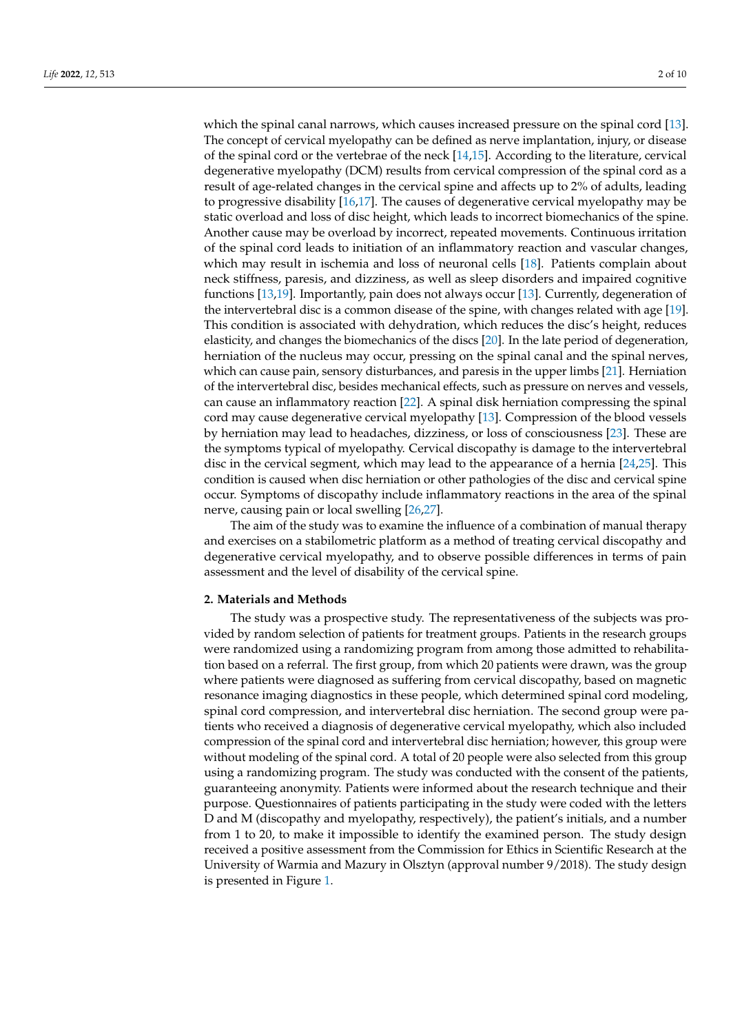which the spinal canal narrows, which causes increased pressure on the spinal cord [\[13\]](#page-8-8). The concept of cervical myelopathy can be defined as nerve implantation, injury, or disease of the spinal cord or the vertebrae of the neck [\[14](#page-8-9)[,15\]](#page-8-10). According to the literature, cervical degenerative myelopathy (DCM) results from cervical compression of the spinal cord as a result of age-related changes in the cervical spine and affects up to 2% of adults, leading to progressive disability [\[16](#page-8-11)[,17\]](#page-8-12). The causes of degenerative cervical myelopathy may be static overload and loss of disc height, which leads to incorrect biomechanics of the spine. Another cause may be overload by incorrect, repeated movements. Continuous irritation of the spinal cord leads to initiation of an inflammatory reaction and vascular changes, which may result in ischemia and loss of neuronal cells [\[18\]](#page-8-13). Patients complain about neck stiffness, paresis, and dizziness, as well as sleep disorders and impaired cognitive functions [\[13](#page-8-8)[,19\]](#page-8-14). Importantly, pain does not always occur [\[13\]](#page-8-8). Currently, degeneration of the intervertebral disc is a common disease of the spine, with changes related with age [\[19\]](#page-8-14). This condition is associated with dehydration, which reduces the disc's height, reduces elasticity, and changes the biomechanics of the discs [\[20\]](#page-9-0). In the late period of degeneration, herniation of the nucleus may occur, pressing on the spinal canal and the spinal nerves, which can cause pain, sensory disturbances, and paresis in the upper limbs [\[21\]](#page-9-1). Herniation of the intervertebral disc, besides mechanical effects, such as pressure on nerves and vessels, can cause an inflammatory reaction [\[22\]](#page-9-2). A spinal disk herniation compressing the spinal cord may cause degenerative cervical myelopathy [\[13\]](#page-8-8). Compression of the blood vessels by herniation may lead to headaches, dizziness, or loss of consciousness [\[23\]](#page-9-3). These are the symptoms typical of myelopathy. Cervical discopathy is damage to the intervertebral disc in the cervical segment, which may lead to the appearance of a hernia [\[24,](#page-9-4)[25\]](#page-9-5). This condition is caused when disc herniation or other pathologies of the disc and cervical spine occur. Symptoms of discopathy include inflammatory reactions in the area of the spinal nerve, causing pain or local swelling [\[26](#page-9-6)[,27\]](#page-9-7).

The aim of the study was to examine the influence of a combination of manual therapy and exercises on a stabilometric platform as a method of treating cervical discopathy and degenerative cervical myelopathy, and to observe possible differences in terms of pain assessment and the level of disability of the cervical spine.

#### **2. Materials and Methods**

The study was a prospective study. The representativeness of the subjects was provided by random selection of patients for treatment groups. Patients in the research groups were randomized using a randomizing program from among those admitted to rehabilitation based on a referral. The first group, from which 20 patients were drawn, was the group where patients were diagnosed as suffering from cervical discopathy, based on magnetic resonance imaging diagnostics in these people, which determined spinal cord modeling, spinal cord compression, and intervertebral disc herniation. The second group were patients who received a diagnosis of degenerative cervical myelopathy, which also included compression of the spinal cord and intervertebral disc herniation; however, this group were without modeling of the spinal cord. A total of 20 people were also selected from this group using a randomizing program. The study was conducted with the consent of the patients, guaranteeing anonymity. Patients were informed about the research technique and their purpose. Questionnaires of patients participating in the study were coded with the letters D and M (discopathy and myelopathy, respectively), the patient's initials, and a number from 1 to 20, to make it impossible to identify the examined person. The study design received a positive assessment from the Commission for Ethics in Scientific Research at the University of Warmia and Mazury in Olsztyn (approval number 9/2018). The study design is presented in Figure [1.](#page-2-0)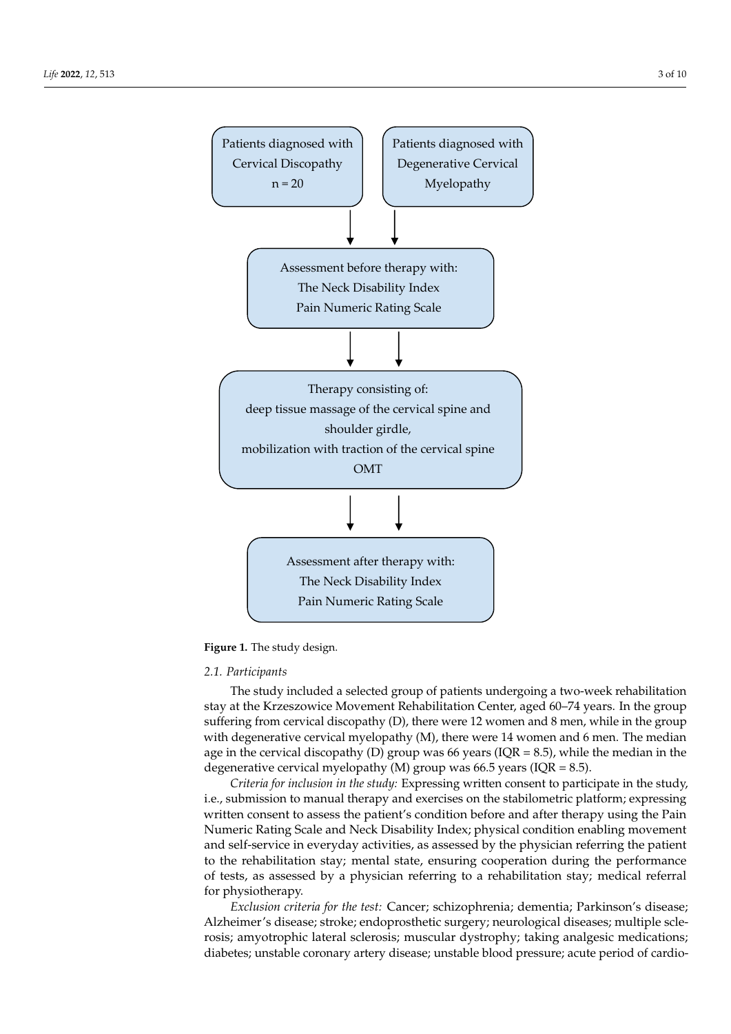<span id="page-2-0"></span>



## *2.1. Participants*

*2.1. Participants*  stay at the Krzeszowice Movement Rehabilitation Center, aged 60–74 years. In the group suffering from cervical discopathy (D), there were 12 women and 8 men, while in the group with degenerative cervical myelopathy (M), there were 14 women and 6 men. The median age in the cervical discopathy (D) group was 66 years (IQR = 8.5), while the median in the degenerative cervical myelopathy (M) group was 66.5 years (IQR = 8.5). The study included a selected group of patients undergoing a two-week rehabilitation

Criteria for inclusion in the study: Expressing written consent to participate in the study, i.e., submission to manual therapy and exercises on the stabilometric platform; expressing written consent to assess the patient's condition before and after therapy using the Pain Numeric Rating Scale and Neck Disability Index; physical condition enabling movement and self-service in everyday activities, as assessed by the physician referring the patient to the rehabilitation stay; mental state, ensuring cooperation during the performance of tests, as assessed by a physician referring to a rehabilitation stay; medical referral for physiotherapy. The physician referring to a referring to a referring to a reduce to a reduce to a referring to a reduce to a reduce to a reduce to a reduce to a reduce to a reduce to a reduce to a reduce to a reduce to

*Exclusion criteria for the test: Cancer; schizophrenia; dementia; Parkinson's disease; Exclusion criteria for the test:* Cancer; schizophrenia; dementia; Parkinson's disease; Alzheimer's disease; stroke; endoprosthetic surgery; neurological diseases; multiple sclerosis; amyotrophic lateral sclerosis; muscular dystrophy; taking analgesic medications; diabetes; unstable coronary artery disease; unstable blood pressure; acute period of cardio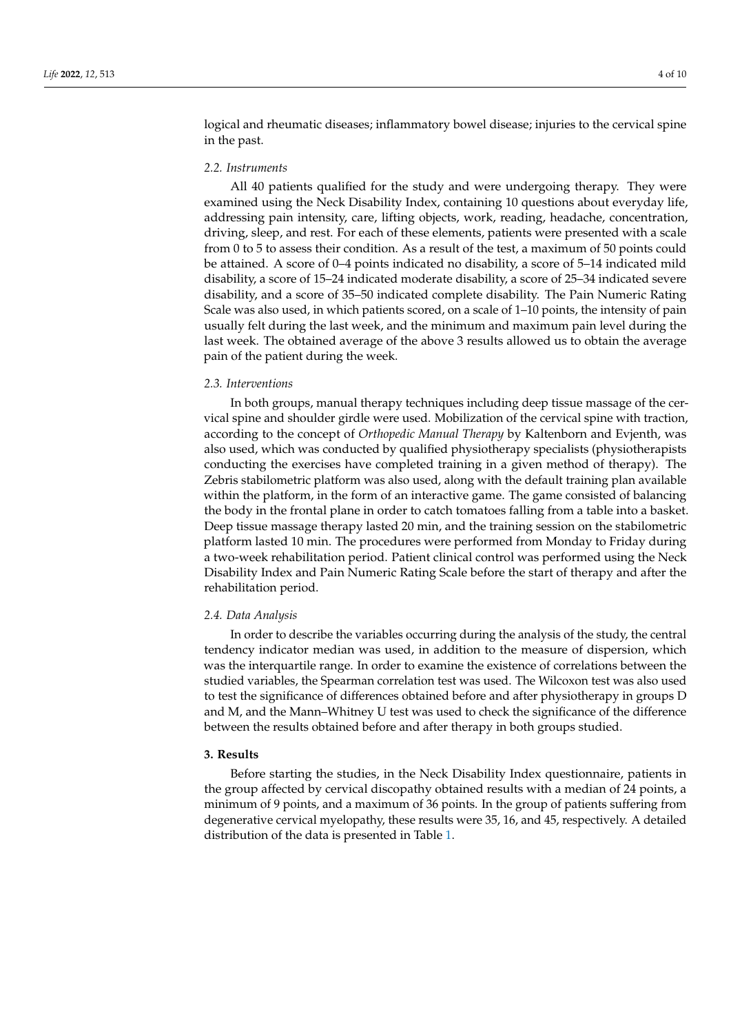logical and rheumatic diseases; inflammatory bowel disease; injuries to the cervical spine in the past.

#### *2.2. Instruments*

All 40 patients qualified for the study and were undergoing therapy. They were examined using the Neck Disability Index, containing 10 questions about everyday life, addressing pain intensity, care, lifting objects, work, reading, headache, concentration, driving, sleep, and rest. For each of these elements, patients were presented with a scale from 0 to 5 to assess their condition. As a result of the test, a maximum of 50 points could be attained. A score of 0–4 points indicated no disability, a score of 5–14 indicated mild disability, a score of 15–24 indicated moderate disability, a score of 25–34 indicated severe disability, and a score of 35–50 indicated complete disability. The Pain Numeric Rating Scale was also used, in which patients scored, on a scale of 1–10 points, the intensity of pain usually felt during the last week, and the minimum and maximum pain level during the last week. The obtained average of the above 3 results allowed us to obtain the average pain of the patient during the week.

#### *2.3. Interventions*

In both groups, manual therapy techniques including deep tissue massage of the cervical spine and shoulder girdle were used. Mobilization of the cervical spine with traction, according to the concept of *Orthopedic Manual Therapy* by Kaltenborn and Evjenth, was also used, which was conducted by qualified physiotherapy specialists (physiotherapists conducting the exercises have completed training in a given method of therapy). The Zebris stabilometric platform was also used, along with the default training plan available within the platform, in the form of an interactive game. The game consisted of balancing the body in the frontal plane in order to catch tomatoes falling from a table into a basket. Deep tissue massage therapy lasted 20 min, and the training session on the stabilometric platform lasted 10 min. The procedures were performed from Monday to Friday during a two-week rehabilitation period. Patient clinical control was performed using the Neck Disability Index and Pain Numeric Rating Scale before the start of therapy and after the rehabilitation period.

#### *2.4. Data Analysis*

In order to describe the variables occurring during the analysis of the study, the central tendency indicator median was used, in addition to the measure of dispersion, which was the interquartile range. In order to examine the existence of correlations between the studied variables, the Spearman correlation test was used. The Wilcoxon test was also used to test the significance of differences obtained before and after physiotherapy in groups D and M, and the Mann–Whitney U test was used to check the significance of the difference between the results obtained before and after therapy in both groups studied.

#### **3. Results**

Before starting the studies, in the Neck Disability Index questionnaire, patients in the group affected by cervical discopathy obtained results with a median of 24 points, a minimum of 9 points, and a maximum of 36 points. In the group of patients suffering from degenerative cervical myelopathy, these results were 35, 16, and 45, respectively. A detailed distribution of the data is presented in Table [1.](#page-4-0)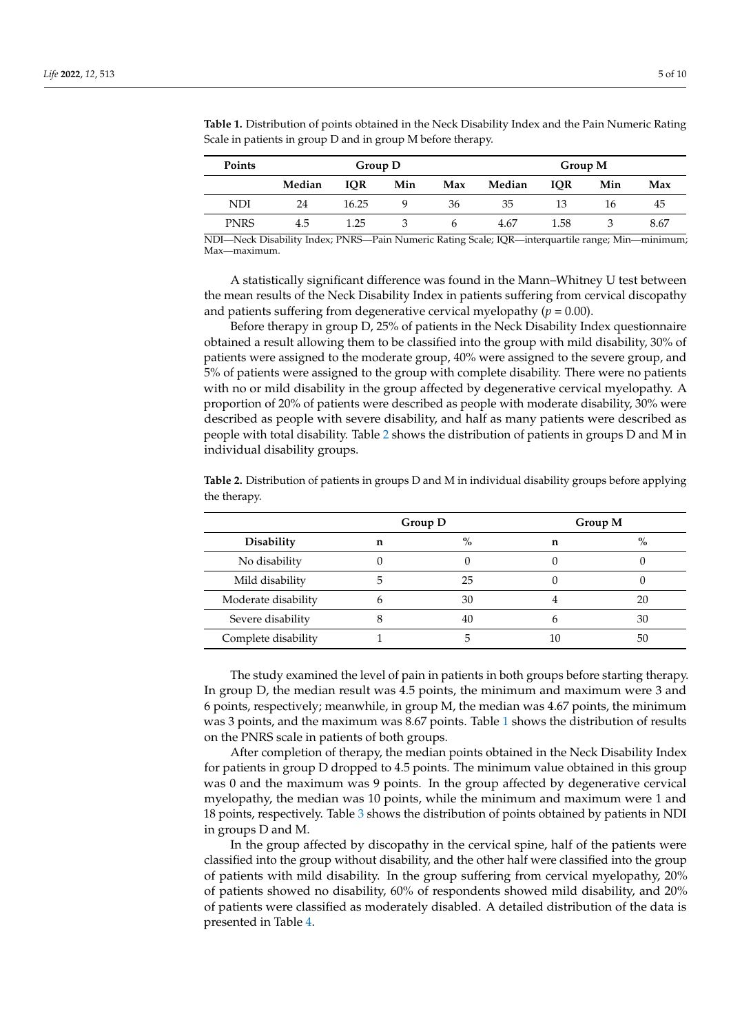| <b>Points</b> | Group D |            |     |     | Group M |            |     |      |
|---------------|---------|------------|-----|-----|---------|------------|-----|------|
|               | Median  | <b>IOR</b> | Min | Max | Median  | <b>IOR</b> | Min | Max  |
| NDI           | 24      | 16.25      |     | 36  | 35      | 13         | 16  | 45   |
| <b>PNRS</b>   | 4.5     | 1.25       |     |     | 4.67    | 1.58       |     | 8.67 |

<span id="page-4-0"></span>**Table 1.** Distribution of points obtained in the Neck Disability Index and the Pain Numeric Rating Scale in patients in group D and in group M before therapy.

NDI—Neck Disability Index; PNRS—Pain Numeric Rating Scale; IQR—interquartile range; Min—minimum; Max—maximum.

A statistically significant difference was found in the Mann–Whitney U test between the mean results of the Neck Disability Index in patients suffering from cervical discopathy and patients suffering from degenerative cervical myelopathy  $(p = 0.00)$ .

Before therapy in group D, 25% of patients in the Neck Disability Index questionnaire obtained a result allowing them to be classified into the group with mild disability, 30% of patients were assigned to the moderate group, 40% were assigned to the severe group, and 5% of patients were assigned to the group with complete disability. There were no patients with no or mild disability in the group affected by degenerative cervical myelopathy. A proportion of 20% of patients were described as people with moderate disability, 30% were described as people with severe disability, and half as many patients were described as people with total disability. Table [2](#page-4-1) shows the distribution of patients in groups D and M in individual disability groups.

|                     |   | Group D | Group M |               |  |
|---------------------|---|---------|---------|---------------|--|
| <b>Disability</b>   | n | $\%$    | n       | $\frac{9}{0}$ |  |
| No disability       |   |         |         |               |  |
| Mild disability     |   | 25      |         |               |  |
| Moderate disability |   | 30      |         | 20            |  |
| Severe disability   |   | 40      |         | 30            |  |
| Complete disability |   |         | 10      | 50            |  |

<span id="page-4-1"></span>**Table 2.** Distribution of patients in groups D and M in individual disability groups before applying the therapy.

The study examined the level of pain in patients in both groups before starting therapy. In group D, the median result was 4.5 points, the minimum and maximum were 3 and 6 points, respectively; meanwhile, in group M, the median was 4.67 points, the minimum was 3 points, and the maximum was 8.67 points. Table [1](#page-4-0) shows the distribution of results on the PNRS scale in patients of both groups.

After completion of therapy, the median points obtained in the Neck Disability Index for patients in group D dropped to 4.5 points. The minimum value obtained in this group was 0 and the maximum was 9 points. In the group affected by degenerative cervical myelopathy, the median was 10 points, while the minimum and maximum were 1 and 18 points, respectively. Table [3](#page-5-0) shows the distribution of points obtained by patients in NDI in groups D and M.

In the group affected by discopathy in the cervical spine, half of the patients were classified into the group without disability, and the other half were classified into the group of patients with mild disability. In the group suffering from cervical myelopathy, 20% of patients showed no disability, 60% of respondents showed mild disability, and 20% of patients were classified as moderately disabled. A detailed distribution of the data is presented in Table [4.](#page-5-1)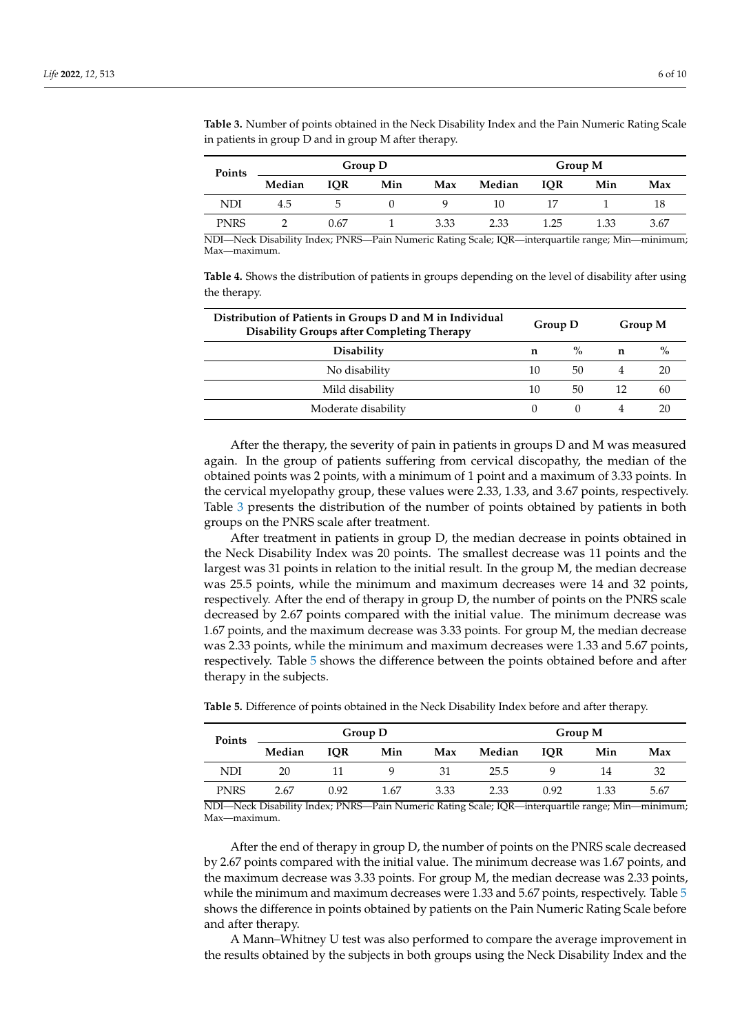| Points      |        |            | Group D |      | Group M |            |      |      |
|-------------|--------|------------|---------|------|---------|------------|------|------|
|             | Median | <b>IOR</b> | Min     | Max  | Median  | <b>IOR</b> | Min  | Max  |
| NDI         | 4.5    | C,         |         |      | 10      |            |      | 18   |
| <b>PNRS</b> |        | 0.67       |         | 3.33 | 2.33    | 1.25       | 1.33 | 3.67 |

<span id="page-5-0"></span>**Table 3.** Number of points obtained in the Neck Disability Index and the Pain Numeric Rating Scale in patients in group D and in group M after therapy.

NDI—Neck Disability Index; PNRS—Pain Numeric Rating Scale; IQR—interquartile range; Min—minimum; Max—maximum.

<span id="page-5-1"></span>**Table 4.** Shows the distribution of patients in groups depending on the level of disability after using the therapy.

| Distribution of Patients in Groups D and M in Individual<br><b>Disability Groups after Completing Therapy</b> |    | Group D | Group M |      |
|---------------------------------------------------------------------------------------------------------------|----|---------|---------|------|
| <b>Disability</b>                                                                                             | n  | $\%$    | n       | $\%$ |
| No disability                                                                                                 | 10 | 50      |         | 20   |
| Mild disability                                                                                               | 10 | 50      | 12      | 60   |
| Moderate disability                                                                                           |    |         |         | 20   |

After the therapy, the severity of pain in patients in groups D and M was measured again. In the group of patients suffering from cervical discopathy, the median of the obtained points was 2 points, with a minimum of 1 point and a maximum of 3.33 points. In the cervical myelopathy group, these values were 2.33, 1.33, and 3.67 points, respectively. Table [3](#page-5-0) presents the distribution of the number of points obtained by patients in both groups on the PNRS scale after treatment.

After treatment in patients in group D, the median decrease in points obtained in the Neck Disability Index was 20 points. The smallest decrease was 11 points and the largest was 31 points in relation to the initial result. In the group M, the median decrease was 25.5 points, while the minimum and maximum decreases were 14 and 32 points, respectively. After the end of therapy in group D, the number of points on the PNRS scale decreased by 2.67 points compared with the initial value. The minimum decrease was 1.67 points, and the maximum decrease was 3.33 points. For group M, the median decrease was 2.33 points, while the minimum and maximum decreases were 1.33 and 5.67 points, respectively. Table [5](#page-5-2) shows the difference between the points obtained before and after therapy in the subjects.

| Points      |        |            | Group D |      | Group M |            |      |      |
|-------------|--------|------------|---------|------|---------|------------|------|------|
|             | Median | <b>IOR</b> | Min     | Max  | Median  | <b>IOR</b> | Min  | Max  |
| NDI         | 20     |            |         | 31   | 25.5    |            | 14   | 32   |
| <b>PNRS</b> | 2.67   | 0.92       | 1.67    | 3.33 | 2.33    | 0.92       | 1.33 | 5.67 |

<span id="page-5-2"></span>**Table 5.** Difference of points obtained in the Neck Disability Index before and after therapy.

NDI—Neck Disability Index; PNRS—Pain Numeric Rating Scale; IQR—interquartile range; Min—minimum; Max—maximum.

After the end of therapy in group D, the number of points on the PNRS scale decreased by 2.67 points compared with the initial value. The minimum decrease was 1.67 points, and the maximum decrease was 3.33 points. For group M, the median decrease was 2.33 points, while the minimum and maximum decreases were 1.33 and 5.67 points, respectively. Table [5](#page-5-2) shows the difference in points obtained by patients on the Pain Numeric Rating Scale before and after therapy.

A Mann–Whitney U test was also performed to compare the average improvement in the results obtained by the subjects in both groups using the Neck Disability Index and the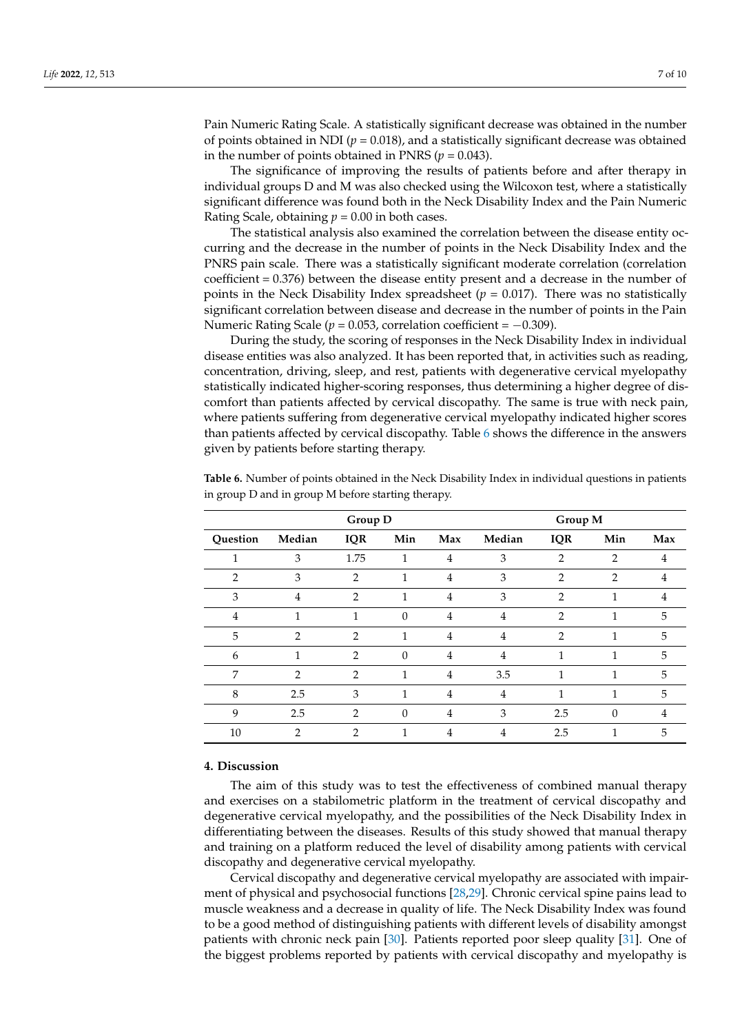Pain Numeric Rating Scale. A statistically significant decrease was obtained in the number of points obtained in NDI (*p* = 0.018), and a statistically significant decrease was obtained in the number of points obtained in PNRS ( $p = 0.043$ ).

The significance of improving the results of patients before and after therapy in individual groups D and M was also checked using the Wilcoxon test, where a statistically significant difference was found both in the Neck Disability Index and the Pain Numeric Rating Scale, obtaining  $p = 0.00$  in both cases.

The statistical analysis also examined the correlation between the disease entity occurring and the decrease in the number of points in the Neck Disability Index and the PNRS pain scale. There was a statistically significant moderate correlation (correlation coefficient = 0.376) between the disease entity present and a decrease in the number of points in the Neck Disability Index spreadsheet  $(p = 0.017)$ . There was no statistically significant correlation between disease and decrease in the number of points in the Pain Numeric Rating Scale (*p* = 0.053, correlation coefficient = −0.309).

During the study, the scoring of responses in the Neck Disability Index in individual disease entities was also analyzed. It has been reported that, in activities such as reading, concentration, driving, sleep, and rest, patients with degenerative cervical myelopathy statistically indicated higher-scoring responses, thus determining a higher degree of discomfort than patients affected by cervical discopathy. The same is true with neck pain, where patients suffering from degenerative cervical myelopathy indicated higher scores than patients affected by cervical discopathy. Table [6](#page-6-0) shows the difference in the answers given by patients before starting therapy.

|                | Group D        |                |              |                |                | Group M        |                |     |  |
|----------------|----------------|----------------|--------------|----------------|----------------|----------------|----------------|-----|--|
| Question       | Median         | <b>IQR</b>     | Min          | Max            | Median         | <b>IQR</b>     | Min            | Max |  |
| 1              | 3              | 1.75           | 1            | 4              | 3              | $\mathfrak{D}$ | $\overline{2}$ | 4   |  |
| $\overline{2}$ | 3              | $\overline{2}$ |              | 4              | 3              | $\mathfrak{D}$ | $\mathcal{P}$  | 4   |  |
| 3              | $\overline{4}$ | $\overline{2}$ | 1            | 4              | 3              | $\overline{2}$ | 1              | 4   |  |
| 4              | 1              | 1              | $\theta$     | 4              | $\overline{4}$ | $\overline{2}$ | 1              | 5   |  |
| 5              | $\mathcal{P}$  | $\overline{2}$ | 1            | $\overline{4}$ | 4              | $\mathcal{P}$  | 1              | 5   |  |
| 6              | 1              | $\overline{2}$ | $\theta$     | 4              | 4              | 1              | 1              | 5   |  |
| 7              | $\mathcal{P}$  | $\mathcal{P}$  | 1            | 4              | 3.5            | 1              | 1              | 5   |  |
| 8              | 2.5            | 3              | $\mathbf{1}$ | $\overline{4}$ | $\overline{4}$ | 1              | $\mathbf{1}$   | 5   |  |
| 9              | 2.5            | $\mathcal{D}$  | 0            | 4              | 3              | 2.5            | $\theta$       | 4   |  |
| 10             | 2              | $\mathcal{P}$  |              | 4              | 4              | 2.5            |                | 5   |  |

<span id="page-6-0"></span>**Table 6.** Number of points obtained in the Neck Disability Index in individual questions in patients in group D and in group M before starting therapy.

#### **4. Discussion**

The aim of this study was to test the effectiveness of combined manual therapy and exercises on a stabilometric platform in the treatment of cervical discopathy and degenerative cervical myelopathy, and the possibilities of the Neck Disability Index in differentiating between the diseases. Results of this study showed that manual therapy and training on a platform reduced the level of disability among patients with cervical discopathy and degenerative cervical myelopathy.

Cervical discopathy and degenerative cervical myelopathy are associated with impairment of physical and psychosocial functions [\[28](#page-9-8)[,29\]](#page-9-9). Chronic cervical spine pains lead to muscle weakness and a decrease in quality of life. The Neck Disability Index was found to be a good method of distinguishing patients with different levels of disability amongst patients with chronic neck pain [\[30\]](#page-9-10). Patients reported poor sleep quality [\[31\]](#page-9-11). One of the biggest problems reported by patients with cervical discopathy and myelopathy is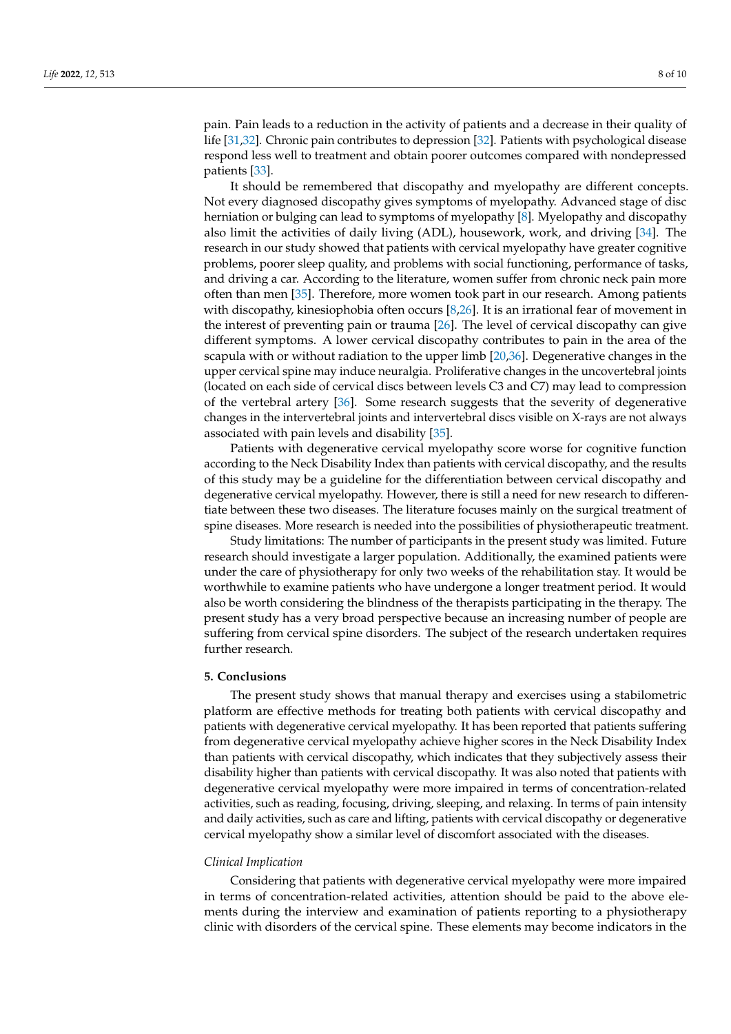pain. Pain leads to a reduction in the activity of patients and a decrease in their quality of life [\[31](#page-9-11)[,32\]](#page-9-12). Chronic pain contributes to depression [\[32\]](#page-9-12). Patients with psychological disease respond less well to treatment and obtain poorer outcomes compared with nondepressed patients [\[33\]](#page-9-13).

It should be remembered that discopathy and myelopathy are different concepts. Not every diagnosed discopathy gives symptoms of myelopathy. Advanced stage of disc herniation or bulging can lead to symptoms of myelopathy [\[8\]](#page-8-5). Myelopathy and discopathy also limit the activities of daily living (ADL), housework, work, and driving [\[34\]](#page-9-14). The research in our study showed that patients with cervical myelopathy have greater cognitive problems, poorer sleep quality, and problems with social functioning, performance of tasks, and driving a car. According to the literature, women suffer from chronic neck pain more often than men [\[35\]](#page-9-15). Therefore, more women took part in our research. Among patients with discopathy, kinesiophobia often occurs [\[8](#page-8-5)[,26\]](#page-9-6). It is an irrational fear of movement in the interest of preventing pain or trauma [\[26\]](#page-9-6). The level of cervical discopathy can give different symptoms. A lower cervical discopathy contributes to pain in the area of the scapula with or without radiation to the upper limb [\[20,](#page-9-0)[36\]](#page-9-16). Degenerative changes in the upper cervical spine may induce neuralgia. Proliferative changes in the uncovertebral joints (located on each side of cervical discs between levels C3 and C7) may lead to compression of the vertebral artery [\[36\]](#page-9-16). Some research suggests that the severity of degenerative changes in the intervertebral joints and intervertebral discs visible on X-rays are not always associated with pain levels and disability [\[35\]](#page-9-15).

Patients with degenerative cervical myelopathy score worse for cognitive function according to the Neck Disability Index than patients with cervical discopathy, and the results of this study may be a guideline for the differentiation between cervical discopathy and degenerative cervical myelopathy. However, there is still a need for new research to differentiate between these two diseases. The literature focuses mainly on the surgical treatment of spine diseases. More research is needed into the possibilities of physiotherapeutic treatment.

Study limitations: The number of participants in the present study was limited. Future research should investigate a larger population. Additionally, the examined patients were under the care of physiotherapy for only two weeks of the rehabilitation stay. It would be worthwhile to examine patients who have undergone a longer treatment period. It would also be worth considering the blindness of the therapists participating in the therapy. The present study has a very broad perspective because an increasing number of people are suffering from cervical spine disorders. The subject of the research undertaken requires further research.

## **5. Conclusions**

The present study shows that manual therapy and exercises using a stabilometric platform are effective methods for treating both patients with cervical discopathy and patients with degenerative cervical myelopathy. It has been reported that patients suffering from degenerative cervical myelopathy achieve higher scores in the Neck Disability Index than patients with cervical discopathy, which indicates that they subjectively assess their disability higher than patients with cervical discopathy. It was also noted that patients with degenerative cervical myelopathy were more impaired in terms of concentration-related activities, such as reading, focusing, driving, sleeping, and relaxing. In terms of pain intensity and daily activities, such as care and lifting, patients with cervical discopathy or degenerative cervical myelopathy show a similar level of discomfort associated with the diseases.

#### *Clinical Implication*

Considering that patients with degenerative cervical myelopathy were more impaired in terms of concentration-related activities, attention should be paid to the above elements during the interview and examination of patients reporting to a physiotherapy clinic with disorders of the cervical spine. These elements may become indicators in the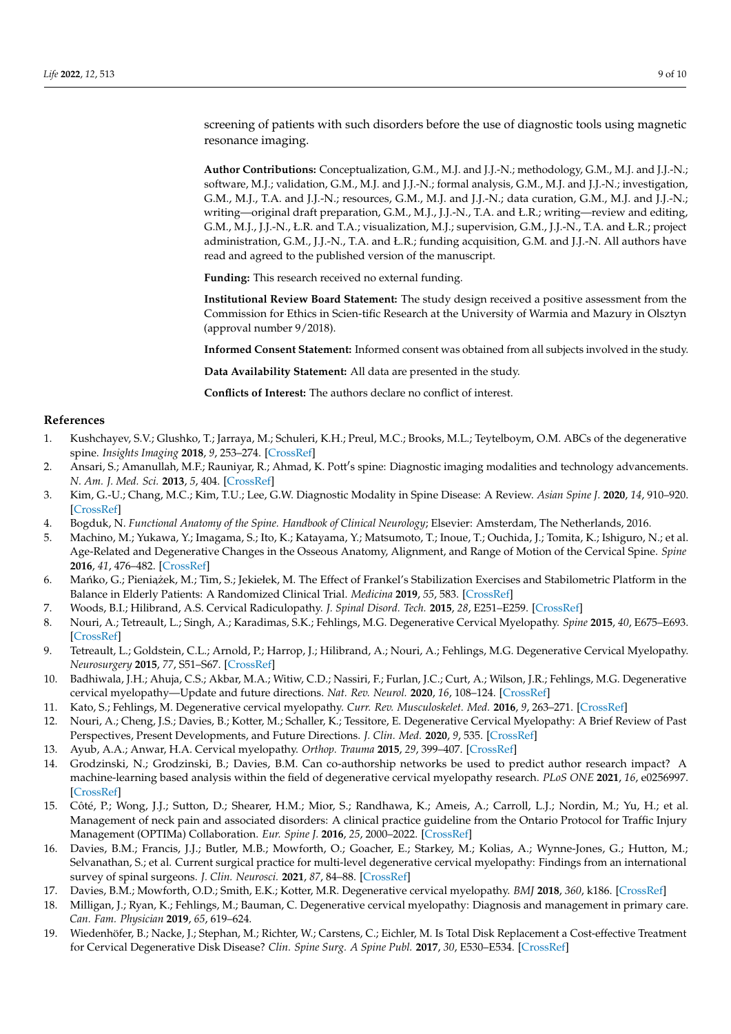screening of patients with such disorders before the use of diagnostic tools using magnetic resonance imaging.

**Author Contributions:** Conceptualization, G.M., M.J. and J.J.-N.; methodology, G.M., M.J. and J.J.-N.; software, M.J.; validation, G.M., M.J. and J.J.-N.; formal analysis, G.M., M.J. and J.J.-N.; investigation, G.M., M.J., T.A. and J.J.-N.; resources, G.M., M.J. and J.J.-N.; data curation, G.M., M.J. and J.J.-N.; writing—original draft preparation, G.M., M.J., J.J.-N., T.A. and Ł.R.; writing—review and editing, G.M., M.J., J.J.-N., Ł.R. and T.A.; visualization, M.J.; supervision, G.M., J.J.-N., T.A. and Ł.R.; project administration, G.M., J.J.-N., T.A. and Ł.R.; funding acquisition, G.M. and J.J.-N. All authors have read and agreed to the published version of the manuscript.

**Funding:** This research received no external funding.

**Institutional Review Board Statement:** The study design received a positive assessment from the Commission for Ethics in Scien-tific Research at the University of Warmia and Mazury in Olsztyn (approval number 9/2018).

**Informed Consent Statement:** Informed consent was obtained from all subjects involved in the study.

**Data Availability Statement:** All data are presented in the study.

**Conflicts of Interest:** The authors declare no conflict of interest.

#### **References**

- <span id="page-8-0"></span>1. Kushchayev, S.V.; Glushko, T.; Jarraya, M.; Schuleri, K.H.; Preul, M.C.; Brooks, M.L.; Teytelboym, O.M. ABCs of the degenerative spine. *Insights Imaging* **2018**, *9*, 253–274. [\[CrossRef\]](http://doi.org/10.1007/s13244-017-0584-z)
- <span id="page-8-6"></span>2. Ansari, S.; Amanullah, M.F.; Rauniyar, R.; Ahmad, K. Pott's spine: Diagnostic imaging modalities and technology advancements. *N. Am. J. Med. Sci.* **2013**, *5*, 404. [\[CrossRef\]](http://doi.org/10.4103/1947-2714.115775)
- <span id="page-8-1"></span>3. Kim, G.-U.; Chang, M.C.; Kim, T.U.; Lee, G.W. Diagnostic Modality in Spine Disease: A Review. *Asian Spine J.* **2020**, *14*, 910–920. [\[CrossRef\]](http://doi.org/10.31616/asj.2020.0593)
- <span id="page-8-2"></span>4. Bogduk, N. *Functional Anatomy of the Spine. Handbook of Clinical Neurology*; Elsevier: Amsterdam, The Netherlands, 2016.
- <span id="page-8-3"></span>5. Machino, M.; Yukawa, Y.; Imagama, S.; Ito, K.; Katayama, Y.; Matsumoto, T.; Inoue, T.; Ouchida, J.; Tomita, K.; Ishiguro, N.; et al. Age-Related and Degenerative Changes in the Osseous Anatomy, Alignment, and Range of Motion of the Cervical Spine. *Spine* **2016**, *41*, 476–482. [\[CrossRef\]](http://doi.org/10.1097/BRS.0000000000001237)
- <span id="page-8-4"></span>6. Mańko, G.; Pieniążek, M.; Tim, S.; Jekiełek, M. The Effect of Frankel's Stabilization Exercises and Stabilometric Platform in the Balance in Elderly Patients: A Randomized Clinical Trial. *Medicina* **2019**, *55*, 583. [\[CrossRef\]](http://doi.org/10.3390/medicina55090583)
- 7. Woods, B.I.; Hilibrand, A.S. Cervical Radiculopathy. *J. Spinal Disord. Tech.* **2015**, *28*, E251–E259. [\[CrossRef\]](http://doi.org/10.1097/BSD.0000000000000284)
- <span id="page-8-5"></span>8. Nouri, A.; Tetreault, L.; Singh, A.; Karadimas, S.K.; Fehlings, M.G. Degenerative Cervical Myelopathy. *Spine* **2015**, *40*, E675–E693. [\[CrossRef\]](http://doi.org/10.1097/BRS.0000000000000913)
- 9. Tetreault, L.; Goldstein, C.L.; Arnold, P.; Harrop, J.; Hilibrand, A.; Nouri, A.; Fehlings, M.G. Degenerative Cervical Myelopathy. *Neurosurgery* **2015**, *77*, S51–S67. [\[CrossRef\]](http://doi.org/10.1227/NEU.0000000000000951)
- 10. Badhiwala, J.H.; Ahuja, C.S.; Akbar, M.A.; Witiw, C.D.; Nassiri, F.; Furlan, J.C.; Curt, A.; Wilson, J.R.; Fehlings, M.G. Degenerative cervical myelopathy—Update and future directions. *Nat. Rev. Neurol.* **2020**, *16*, 108–124. [\[CrossRef\]](http://doi.org/10.1038/s41582-019-0303-0)
- 11. Kato, S.; Fehlings, M. Degenerative cervical myelopathy. *Curr. Rev. Musculoskelet. Med.* **2016**, *9*, 263–271. [\[CrossRef\]](http://doi.org/10.1007/s12178-016-9348-5)
- <span id="page-8-7"></span>12. Nouri, A.; Cheng, J.S.; Davies, B.; Kotter, M.; Schaller, K.; Tessitore, E. Degenerative Cervical Myelopathy: A Brief Review of Past Perspectives, Present Developments, and Future Directions. *J. Clin. Med.* **2020**, *9*, 535. [\[CrossRef\]](http://doi.org/10.3390/jcm9020535)
- <span id="page-8-9"></span><span id="page-8-8"></span>13. Ayub, A.A.; Anwar, H.A. Cervical myelopathy. *Orthop. Trauma* **2015**, *29*, 399–407. [\[CrossRef\]](http://doi.org/10.1016/j.mporth.2015.10.006)
- 14. Grodzinski, N.; Grodzinski, B.; Davies, B.M. Can co-authorship networks be used to predict author research impact? A machine-learning based analysis within the field of degenerative cervical myelopathy research. *PLoS ONE* **2021**, *16*, e0256997. [\[CrossRef\]](http://doi.org/10.1371/journal.pone.0256997)
- <span id="page-8-10"></span>15. Côté, P.; Wong, J.J.; Sutton, D.; Shearer, H.M.; Mior, S.; Randhawa, K.; Ameis, A.; Carroll, L.J.; Nordin, M.; Yu, H.; et al. Management of neck pain and associated disorders: A clinical practice guideline from the Ontario Protocol for Traffic Injury Management (OPTIMa) Collaboration. *Eur. Spine J.* **2016**, *25*, 2000–2022. [\[CrossRef\]](http://doi.org/10.1007/s00586-016-4467-7)
- <span id="page-8-11"></span>16. Davies, B.M.; Francis, J.J.; Butler, M.B.; Mowforth, O.; Goacher, E.; Starkey, M.; Kolias, A.; Wynne-Jones, G.; Hutton, M.; Selvanathan, S.; et al. Current surgical practice for multi-level degenerative cervical myelopathy: Findings from an international survey of spinal surgeons. *J. Clin. Neurosci.* **2021**, *87*, 84–88. [\[CrossRef\]](http://doi.org/10.1016/j.jocn.2021.01.049)
- <span id="page-8-12"></span>17. Davies, B.M.; Mowforth, O.D.; Smith, E.K.; Kotter, M.R. Degenerative cervical myelopathy. *BMJ* **2018**, *360*, k186. [\[CrossRef\]](http://doi.org/10.1136/bmj.k186)
- <span id="page-8-13"></span>18. Milligan, J.; Ryan, K.; Fehlings, M.; Bauman, C. Degenerative cervical myelopathy: Diagnosis and management in primary care. *Can. Fam. Physician* **2019**, *65*, 619–624.
- <span id="page-8-14"></span>19. Wiedenhöfer, B.; Nacke, J.; Stephan, M.; Richter, W.; Carstens, C.; Eichler, M. Is Total Disk Replacement a Cost-effective Treatment for Cervical Degenerative Disk Disease? *Clin. Spine Surg. A Spine Publ.* **2017**, *30*, E530–E534. [\[CrossRef\]](http://doi.org/10.1097/BSD.0000000000000189)